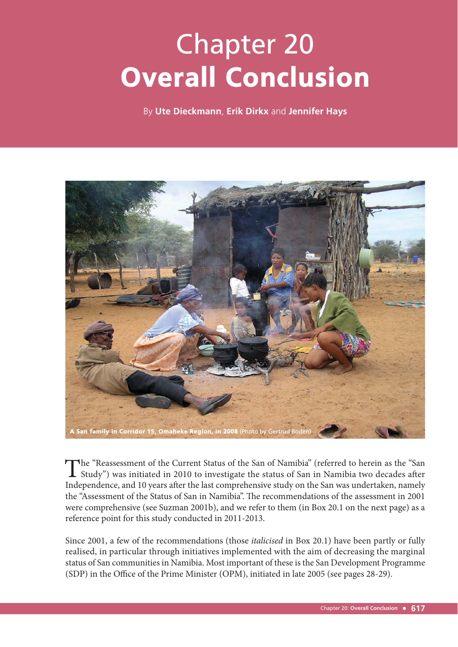# Chapter 20 Overall Conclusion

By **Ute Dieckmann**, **Erik Dirkx** and **Jennifer Hays**



The "Reassessment of the Current Status of the San of Namibia" (referred to herein as the "San Study") was initiated in 2010 to investigate the status of San in Namibia two decades after Independence, and 10 years after the last comprehensive study on the San was undertaken, namely the "Assessment of the Status of San in Namibia". The recommendations of the assessment in 2001 were comprehensive (see Suzman 2001b), and we refer to them (in Box 20.1 on the next page) as a reference point for this study conducted in 2011-2013.

Since 2001, a few of the recommendations (those *italicised* in Box 20.1) have been partly or fully realised, in particular through initiatives implemented with the aim of decreasing the marginal status of San communities in Namibia. Most important of these is the San Development Programme (SDP) in the Office of the Prime Minister (OPM), initiated in late 2005 (see pages 28-29).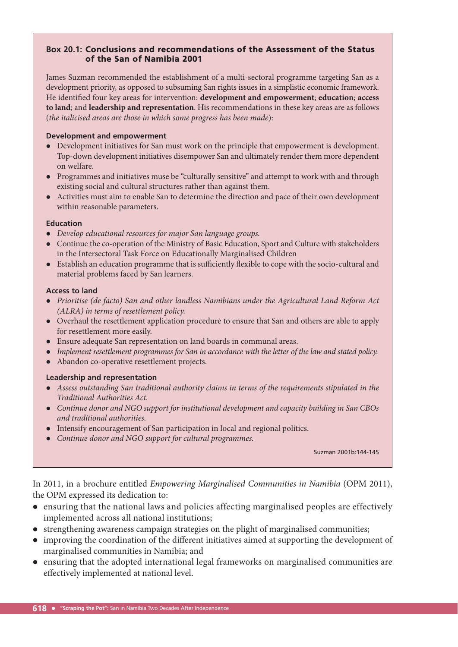#### **Box 20.1:** Conclusions and recommendations of the Assessment of the Status of the San of Namibia 2001

James Suzman recommended the establishment of a multi-sectoral programme targeting San as a development priority, as opposed to subsuming San rights issues in a simplistic economic framework. He identified four key areas for intervention: **development and empowerment**; **education**; **access to land**; and **leadership and representation**. His recommendations in these key areas are as follows (*the italicised areas are those in which some progress has been made*):

#### **Development and empowerment**

- Development initiatives for San must work on the principle that empowerment is development. Top-down development initiatives disempower San and ultimately render them more dependent on welfare.
- Programmes and initiatives muse be "culturally sensitive" and attempt to work with and through existing social and cultural structures rather than against them.
- Activities must aim to enable San to determine the direction and pace of their own development within reasonable parameters.

#### **Education**

- *Develop educational resources for major San language groups.*
- Continue the co-operation of the Ministry of Basic Education, Sport and Culture with stakeholders in the Intersectoral Task Force on Educationally Marginalised Children
- Establish an education programme that is sufficiently flexible to cope with the socio-cultural and material problems faced by San learners.

#### **Access to land**

- *Prioritise (de facto) San and other landless Namibians under the Agricultural Land Reform Act (ALRA) in terms of resettlement policy.*
- Overhaul the resettlement application procedure to ensure that San and others are able to apply for resettlement more easily.
- Ensure adequate San representation on land boards in communal areas.
- *Implement resettlement programmes for San in accordance with the letter of the law and stated policy.*
- Abandon co-operative resettlement projects.

#### **Leadership and representation**

- *Assess outstanding San traditional authority claims in terms of the requirements stipulated in the Traditional Authorities Act.*
- *Continue donor and NGO support for institutional development and capacity building in San CBOs and traditional authorities.*
- Intensify encouragement of San participation in local and regional politics.
- *Continue donor and NGO support for cultural programmes.*

Suzman 2001b:144-145

In 2011, in a brochure entitled *Empowering Marginalised Communities in Namibia* (OPM 2011), the OPM expressed its dedication to:

- ensuring that the national laws and policies affecting marginalised peoples are effectively implemented across all national institutions;
- strengthening awareness campaign strategies on the plight of marginalised communities;
- improving the coordination of the different initiatives aimed at supporting the development of marginalised communities in Namibia; and
- ensuring that the adopted international legal frameworks on marginalised communities are effectively implemented at national level.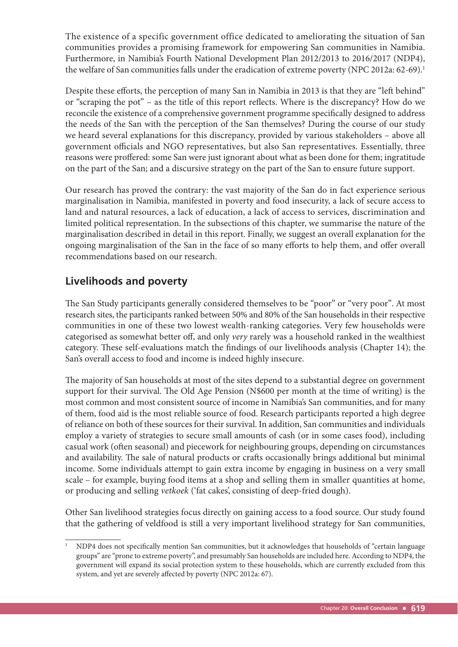The existence of a specific government office dedicated to ameliorating the situation of San communities provides a promising framework for empowering San communities in Namibia. Furthermore, in Namibia's Fourth National Development Plan 2012/2013 to 2016/2017 (NDP4), the welfare of San communities falls under the eradication of extreme poverty (NPC 2012a: 62-69).<sup>1</sup>

Despite these efforts, the perception of many San in Namibia in 2013 is that they are "left behind" or "scraping the pot" – as the title of this report reflects. Where is the discrepancy? How do we reconcile the existence of a comprehensive government programme specifically designed to address the needs of the San with the perception of the San themselves? During the course of our study we heard several explanations for this discrepancy, provided by various stakeholders – above all government officials and NGO representatives, but also San representatives. Essentially, three reasons were proffered: some San were just ignorant about what as been done for them; ingratitude on the part of the San; and a discursive strategy on the part of the San to ensure future support.

Our research has proved the contrary: the vast majority of the San do in fact experience serious marginalisation in Namibia, manifested in poverty and food insecurity, a lack of secure access to land and natural resources, a lack of education, a lack of access to services, discrimination and limited political representation. In the subsections of this chapter, we summarise the nature of the marginalisation described in detail in this report. Finally, we suggest an overall explanation for the ongoing marginalisation of the San in the face of so many efforts to help them, and offer overall recommendations based on our research.

# **Livelihoods and poverty**

The San Study participants generally considered themselves to be "poor" or "very poor". At most research sites, the participants ranked between 50% and 80% of the San households in their respective communities in one of these two lowest wealth-ranking categories. Very few households were categorised as somewhat better off, and only *very* rarely was a household ranked in the wealthiest category. These self-evaluations match the findings of our livelihoods analysis (Chapter 14); the San's overall access to food and income is indeed highly insecure.

The majority of San households at most of the sites depend to a substantial degree on government support for their survival. The Old Age Pension (N\$600 per month at the time of writing) is the most common and most consistent source of income in Namibia's San communities, and for many of them, food aid is the most reliable source of food. Research participants reported a high degree of reliance on both of these sources for their survival. In addition, San communities and individuals employ a variety of strategies to secure small amounts of cash (or in some cases food), including casual work (often seasonal) and piecework for neighbouring groups, depending on circumstances and availability. The sale of natural products or crafts occasionally brings additional but minimal income. Some individuals attempt to gain extra income by engaging in business on a very small scale – for example, buying food items at a shop and selling them in smaller quantities at home, or producing and selling *vetkoek* ('fat cakes', consisting of deep-fried dough).

Other San livelihood strategies focus directly on gaining access to a food source. Our study found that the gathering of veldfood is still a very important livelihood strategy for San communities,

<sup>1</sup> NDP4 does not specifically mention San communities, but it acknowledges that households of "certain language groups" are "prone to extreme poverty", and presumably San households are included here. According to NDP4, the government will expand its social protection system to these households, which are currently excluded from this system, and yet are severely affected by poverty (NPC 2012a: 67).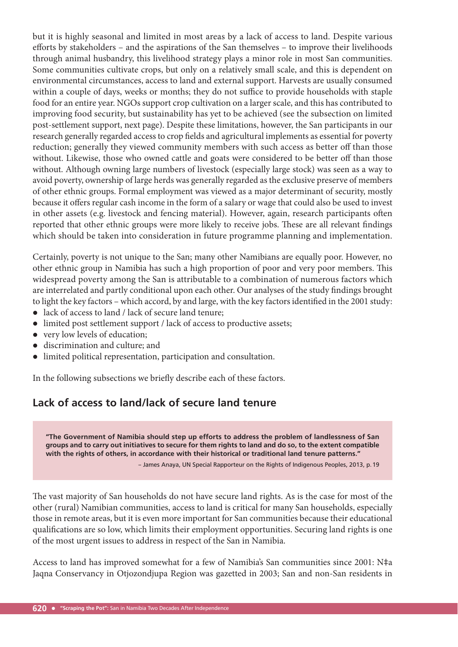but it is highly seasonal and limited in most areas by a lack of access to land. Despite various efforts by stakeholders – and the aspirations of the San themselves – to improve their livelihoods through animal husbandry, this livelihood strategy plays a minor role in most San communities. Some communities cultivate crops, but only on a relatively small scale, and this is dependent on environmental circumstances, access to land and external support. Harvests are usually consumed within a couple of days, weeks or months; they do not suffice to provide households with staple food for an entire year. NGOs support crop cultivation on a larger scale, and this has contributed to improving food security, but sustainability has yet to be achieved (see the subsection on limited post-settlement support, next page). Despite these limitations, however, the San participants in our research generally regarded access to crop fields and agricultural implements as essential for poverty reduction; generally they viewed community members with such access as better off than those without. Likewise, those who owned cattle and goats were considered to be better off than those without. Although owning large numbers of livestock (especially large stock) was seen as a way to avoid poverty, ownership of large herds was generally regarded as the exclusive preserve of members of other ethnic groups. Formal employment was viewed as a major determinant of security, mostly because it offers regular cash income in the form of a salary or wage that could also be used to invest in other assets (e.g. livestock and fencing material). However, again, research participants often reported that other ethnic groups were more likely to receive jobs. These are all relevant findings which should be taken into consideration in future programme planning and implementation.

Certainly, poverty is not unique to the San; many other Namibians are equally poor. However, no other ethnic group in Namibia has such a high proportion of poor and very poor members. This widespread poverty among the San is attributable to a combination of numerous factors which are interrelated and partly conditional upon each other. Our analyses of the study findings brought to light the key factors – which accord, by and large, with the key factors identified in the 2001 study:

- lack of access to land / lack of secure land tenure;
- limited post settlement support / lack of access to productive assets;
- very low levels of education;
- discrimination and culture; and
- limited political representation, participation and consultation.

In the following subsections we briefly describe each of these factors.

## **Lack of access to land/lack of secure land tenure**

**"The Government of Namibia should step up efforts to address the problem of landlessness of San groups and to carry out initiatives to secure for them rights to land and do so, to the extent compatible with the rights of others, in accordance with their historical or traditional land tenure patterns."** 

– James Anaya, UN Special Rapporteur on the Rights of Indigenous Peoples, 2013, p. 19

The vast majority of San households do not have secure land rights. As is the case for most of the other (rural) Namibian communities, access to land is critical for many San households, especially those in remote areas, but it is even more important for San communities because their educational qualifications are so low, which limits their employment opportunities. Securing land rights is one of the most urgent issues to address in respect of the San in Namibia.

Access to land has improved somewhat for a few of Namibia's San communities since 2001: N‡a Jaqna Conservancy in Otjozondjupa Region was gazetted in 2003; San and non-San residents in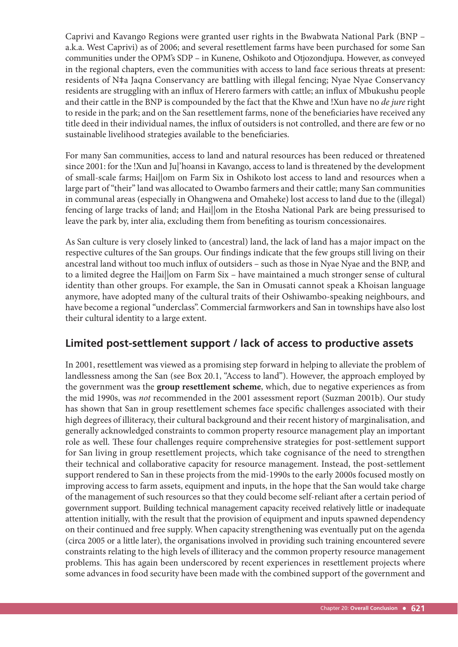Caprivi and Kavango Regions were granted user rights in the Bwabwata National Park (BNP – a.k.a. West Caprivi) as of 2006; and several resettlement farms have been purchased for some San communities under the OPM's SDP – in Kunene, Oshikoto and Otjozondjupa. However, as conveyed in the regional chapters, even the communities with access to land face serious threats at present: residents of N‡a Jaqna Conservancy are battling with illegal fencing; Nyae Nyae Conservancy residents are struggling with an influx of Herero farmers with cattle; an influx of Mbukushu people and their cattle in the BNP is compounded by the fact that the Khwe and !Xun have no *de jure* right to reside in the park; and on the San resettlement farms, none of the beneficiaries have received any title deed in their individual names, the influx of outsiders is not controlled, and there are few or no sustainable livelihood strategies available to the beneficiaries.

For many San communities, access to land and natural resources has been reduced or threatened since 2001: for the !Xun and Ju|'hoansi in Kavango, access to land is threatened by the development of small-scale farms; Hai||om on Farm Six in Oshikoto lost access to land and resources when a large part of "their" land was allocated to Owambo farmers and their cattle; many San communities in communal areas (especially in Ohangwena and Omaheke) lost access to land due to the (illegal) fencing of large tracks of land; and Hai||om in the Etosha National Park are being pressurised to leave the park by, inter alia, excluding them from benefiting as tourism concessionaires.

As San culture is very closely linked to (ancestral) land, the lack of land has a major impact on the respective cultures of the San groups. Our findings indicate that the few groups still living on their ancestral land without too much influx of outsiders - such as those in Nyae Nyae and the BNP, and to a limited degree the Hai||om on Farm Six – have maintained a much stronger sense of cultural identity than other groups. For example, the San in Omusati cannot speak a Khoisan language anymore, have adopted many of the cultural traits of their Oshiwambo-speaking neighbours, and have become a regional "underclass". Commercial farmworkers and San in townships have also lost their cultural identity to a large extent.

## **Limited post-settlement support / lack of access to productive assets**

In 2001, resettlement was viewed as a promising step forward in helping to alleviate the problem of landlessness among the San (see Box 20.1, "Access to land"). However, the approach employed by the government was the **group resettlement scheme**, which, due to negative experiences as from the mid 1990s, was *not* recommended in the 2001 assessment report (Suzman 2001b). Our study has shown that San in group resettlement schemes face specific challenges associated with their high degrees of illiteracy, their cultural background and their recent history of marginalisation, and generally acknowledged constraints to common property resource management play an important role as well. These four challenges require comprehensive strategies for post-settlement support for San living in group resettlement projects, which take cognisance of the need to strengthen their technical and collaborative capacity for resource management. Instead, the post-settlement support rendered to San in these projects from the mid-1990s to the early 2000s focused mostly on improving access to farm assets, equipment and inputs, in the hope that the San would take charge of the management of such resources so that they could become self-reliant after a certain period of government support. Building technical management capacity received relatively little or inadequate attention initially, with the result that the provision of equipment and inputs spawned dependency on their continued and free supply. When capacity strengthening was eventually put on the agenda (circa 2005 or a little later), the organisations involved in providing such training encountered severe constraints relating to the high levels of illiteracy and the common property resource management problems. This has again been underscored by recent experiences in resettlement projects where some advances in food security have been made with the combined support of the government and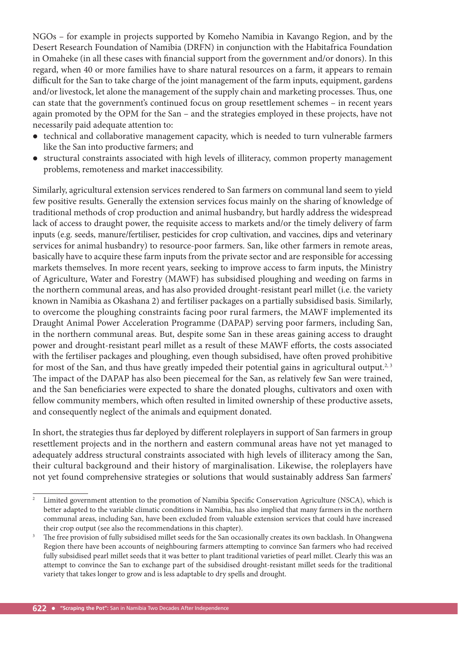NGOs – for example in projects supported by Komeho Namibia in Kavango Region, and by the Desert Research Foundation of Namibia (DRFN) in conjunction with the Habitafrica Foundation in Omaheke (in all these cases with financial support from the government and/or donors). In this regard, when 40 or more families have to share natural resources on a farm, it appears to remain difficult for the San to take charge of the joint management of the farm inputs, equipment, gardens and/or livestock, let alone the management of the supply chain and marketing processes. Thus, one can state that the government's continued focus on group resettlement schemes – in recent years again promoted by the OPM for the San – and the strategies employed in these projects, have not necessarily paid adequate attention to:

- technical and collaborative management capacity, which is needed to turn vulnerable farmers like the San into productive farmers; and
- structural constraints associated with high levels of illiteracy, common property management problems, remoteness and market inaccessibility.

Similarly, agricultural extension services rendered to San farmers on communal land seem to yield few positive results. Generally the extension services focus mainly on the sharing of knowledge of traditional methods of crop production and animal husbandry, but hardly address the widespread lack of access to draught power, the requisite access to markets and/or the timely delivery of farm inputs (e.g. seeds, manure/fertiliser, pesticides for crop cultivation, and vaccines, dips and veterinary services for animal husbandry) to resource-poor farmers. San, like other farmers in remote areas, basically have to acquire these farm inputs from the private sector and are responsible for accessing markets themselves. In more recent years, seeking to improve access to farm inputs, the Ministry of Agriculture, Water and Forestry (MAWF) has subsidised ploughing and weeding on farms in the northern communal areas, and has also provided drought-resistant pearl millet (i.e. the variety known in Namibia as Okashana 2) and fertiliser packages on a partially subsidised basis. Similarly, to overcome the ploughing constraints facing poor rural farmers, the MAWF implemented its Draught Animal Power Acceleration Programme (DAPAP) serving poor farmers, including San, in the northern communal areas. But, despite some San in these areas gaining access to draught power and drought-resistant pearl millet as a result of these MAWF efforts, the costs associated with the fertiliser packages and ploughing, even though subsidised, have often proved prohibitive for most of the San, and thus have greatly impeded their potential gains in agricultural output.<sup>2, 3</sup> The impact of the DAPAP has also been piecemeal for the San, as relatively few San were trained, and the San beneficiaries were expected to share the donated ploughs, cultivators and oxen with fellow community members, which often resulted in limited ownership of these productive assets, and consequently neglect of the animals and equipment donated.

In short, the strategies thus far deployed by different roleplayers in support of San farmers in group resettlement projects and in the northern and eastern communal areas have not yet managed to adequately address structural constraints associated with high levels of illiteracy among the San, their cultural background and their history of marginalisation. Likewise, the roleplayers have not yet found comprehensive strategies or solutions that would sustainably address San farmers'

<sup>2</sup> Limited government attention to the promotion of Namibia Specifi c Conservation Agriculture (NSCA), which is better adapted to the variable climatic conditions in Namibia, has also implied that many farmers in the northern communal areas, including San, have been excluded from valuable extension services that could have increased their crop output (see also the recommendations in this chapter).

<sup>3</sup> The free provision of fully subsidised millet seeds for the San occasionally creates its own backlash. In Ohangwena Region there have been accounts of neighbouring farmers attempting to convince San farmers who had received fully subsidised pearl millet seeds that it was better to plant traditional varieties of pearl millet. Clearly this was an attempt to convince the San to exchange part of the subsidised drought-resistant millet seeds for the traditional variety that takes longer to grow and is less adaptable to dry spells and drought.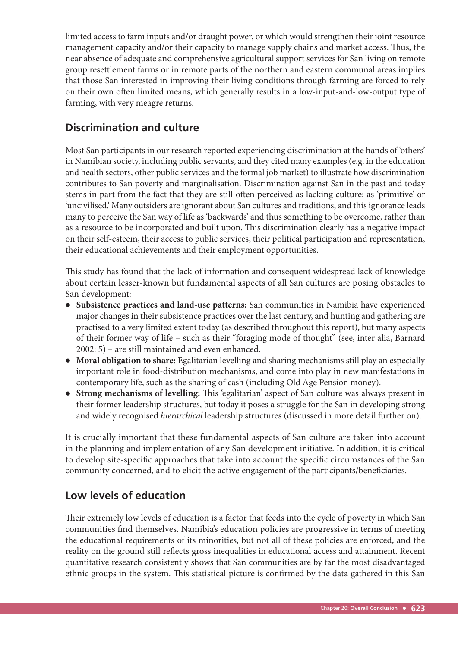limited access to farm inputs and/or draught power, or which would strengthen their joint resource management capacity and/or their capacity to manage supply chains and market access. Thus, the near absence of adequate and comprehensive agricultural support services for San living on remote group resettlement farms or in remote parts of the northern and eastern communal areas implies that those San interested in improving their living conditions through farming are forced to rely on their own often limited means, which generally results in a low-input-and-low-output type of farming, with very meagre returns.

## **Discrimination and culture**

Most San participants in our research reported experiencing discrimination at the hands of 'others' in Namibian society, including public servants, and they cited many examples (e.g. in the education and health sectors, other public services and the formal job market) to illustrate how discrimination contributes to San poverty and marginalisation. Discrimination against San in the past and today stems in part from the fact that they are still often perceived as lacking culture; as 'primitive' or 'uncivilised.' Many outsiders are ignorant about San cultures and traditions, and this ignorance leads many to perceive the San way of life as 'backwards' and thus something to be overcome, rather than as a resource to be incorporated and built upon. This discrimination clearly has a negative impact on their self-esteem, their access to public services, their political participation and representation, their educational achievements and their employment opportunities.

This study has found that the lack of information and consequent widespread lack of knowledge about certain lesser-known but fundamental aspects of all San cultures are posing obstacles to San development:

- **Subsistence practices and land-use patterns:** San communities in Namibia have experienced major changes in their subsistence practices over the last century, and hunting and gathering are practised to a very limited extent today (as described throughout this report), but many aspects of their former way of life – such as their "foraging mode of thought" (see, inter alia, Barnard 2002: 5) – are still maintained and even enhanced.
- **Moral obligation to share:** Egalitarian levelling and sharing mechanisms still play an especially important role in food-distribution mechanisms, and come into play in new manifestations in contemporary life, such as the sharing of cash (including Old Age Pension money).
- Strong mechanisms of levelling: This 'egalitarian' aspect of San culture was always present in their former leadership structures, but today it poses a struggle for the San in developing strong and widely recognised *hierarchical* leadership structures (discussed in more detail further on).

It is crucially important that these fundamental aspects of San culture are taken into account in the planning and implementation of any San development initiative. In addition, it is critical to develop site-specific approaches that take into account the specific circumstances of the San community concerned, and to elicit the active engagement of the participants/beneficiaries.

## **Low levels of education**

Their extremely low levels of education is a factor that feeds into the cycle of poverty in which San communities find themselves. Namibia's education policies are progressive in terms of meeting the educational requirements of its minorities, but not all of these policies are enforced, and the reality on the ground still reflects gross inequalities in educational access and attainment. Recent quantitative research consistently shows that San communities are by far the most disadvantaged ethnic groups in the system. This statistical picture is confirmed by the data gathered in this San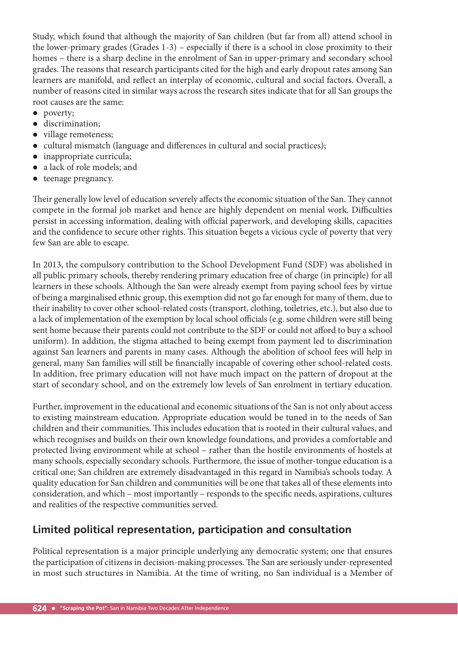Study, which found that although the majority of San children (but far from all) attend school in the lower-primary grades (Grades 1-3) – especially if there is a school in close proximity to their homes – there is a sharp decline in the enrolment of San in upper-primary and secondary school grades. The reasons that research participants cited for the high and early dropout rates among San learners are manifold, and reflect an interplay of economic, cultural and social factors. Overall, a number of reasons cited in similar ways across the research sites indicate that for all San groups the root causes are the same:

- poverty;
- $\bullet$  discrimination;
- village remoteness;
- cultural mismatch (language and differences in cultural and social practices);
- inappropriate curricula;
- a lack of role models; and
- $\bullet$  teenage pregnancy.

Their generally low level of education severely affects the economic situation of the San. They cannot compete in the formal job market and hence are highly dependent on menial work. Difficulties persist in accessing information, dealing with official paperwork, and developing skills, capacities and the confidence to secure other rights. This situation begets a vicious cycle of poverty that very few San are able to escape.

In 2013, the compulsory contribution to the School Development Fund (SDF) was abolished in all public primary schools, thereby rendering primary education free of charge (in principle) for all learners in these schools. Although the San were already exempt from paying school fees by virtue of being a marginalised ethnic group, this exemption did not go far enough for many of them, due to their inability to cover other school-related costs (transport, clothing, toiletries, etc.), but also due to a lack of implementation of the exemption by local school officials (e.g. some children were still being sent home because their parents could not contribute to the SDF or could not afford to buy a school uniform). In addition, the stigma attached to being exempt from payment led to discrimination against San learners and parents in many cases. Although the abolition of school fees will help in general, many San families will still be financially incapable of covering other school-related costs. In addition, free primary education will not have much impact on the pattern of dropout at the start of secondary school, and on the extremely low levels of San enrolment in tertiary education.

Further, improvement in the educational and economic situations of the San is not only about access to existing mainstream education. Appropriate education would be tuned in to the needs of San children and their communities. This includes education that is rooted in their cultural values, and which recognises and builds on their own knowledge foundations, and provides a comfortable and protected living environment while at school – rather than the hostile environments of hostels at many schools, especially secondary schools. Furthermore, the issue of mother-tongue education is a critical one; San children are extremely disadvantaged in this regard in Namibia's schools today. A quality education for San children and communities will be one that takes all of these elements into consideration, and which – most importantly – responds to the specific needs, aspirations, cultures and realities of the respective communities served.

## **Limited political representation, participation and consultation**

Political representation is a major principle underlying any democratic system; one that ensures the participation of citizens in decision-making processes. The San are seriously under-represented in most such structures in Namibia. At the time of writing, no San individual is a Member of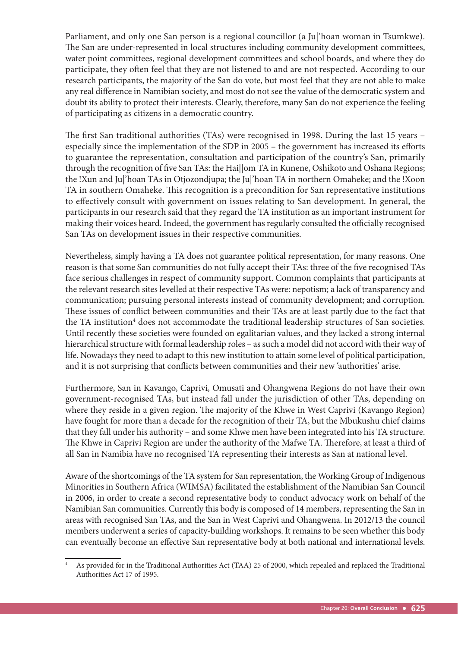Parliament, and only one San person is a regional councillor (a Ju|'hoan woman in Tsumkwe). The San are under-represented in local structures including community development committees, water point committees, regional development committees and school boards, and where they do participate, they often feel that they are not listened to and are not respected. According to our research participants, the majority of the San do vote, but most feel that they are not able to make any real difference in Namibian society, and most do not see the value of the democratic system and doubt its ability to protect their interests. Clearly, therefore, many San do not experience the feeling of participating as citizens in a democratic country.

The first San traditional authorities (TAs) were recognised in 1998. During the last 15 years – especially since the implementation of the SDP in 2005 - the government has increased its efforts to guarantee the representation, consultation and participation of the country's San, primarily through the recognition of five San TAs: the Hai||om TA in Kunene, Oshikoto and Oshana Regions; the !Xun and Ju|'hoan TAs in Otjozondjupa; the Ju|'hoan TA in northern Omaheke; and the !Xoon TA in southern Omaheke. This recognition is a precondition for San representative institutions to effectively consult with government on issues relating to San development. In general, the participants in our research said that they regard the TA institution as an important instrument for making their voices heard. Indeed, the government has regularly consulted the officially recognised San TAs on development issues in their respective communities.

Nevertheless, simply having a TA does not guarantee political representation, for many reasons. One reason is that some San communities do not fully accept their TAs: three of the five recognised TAs face serious challenges in respect of community support. Common complaints that participants at the relevant research sites levelled at their respective TAs were: nepotism; a lack of transparency and communication; pursuing personal interests instead of community development; and corruption. These issues of conflict between communities and their TAs are at least partly due to the fact that the TA institution<sup>4</sup> does not accommodate the traditional leadership structures of San societies. Until recently these societies were founded on egalitarian values, and they lacked a strong internal hierarchical structure with formal leadership roles – as such a model did not accord with their way of life. Nowadays they need to adapt to this new institution to attain some level of political participation, and it is not surprising that conflicts between communities and their new 'authorities' arise.

Furthermore, San in Kavango, Caprivi, Omusati and Ohangwena Regions do not have their own government-recognised TAs, but instead fall under the jurisdiction of other TAs, depending on where they reside in a given region. The majority of the Khwe in West Caprivi (Kavango Region) have fought for more than a decade for the recognition of their TA, but the Mbukushu chief claims that they fall under his authority – and some Khwe men have been integrated into his TA structure. The Khwe in Caprivi Region are under the authority of the Mafwe TA. Therefore, at least a third of all San in Namibia have no recognised TA representing their interests as San at national level.

Aware of the shortcomings of the TA system for San representation, the Working Group of Indigenous Minorities in Southern Africa (WIMSA) facilitated the establishment of the Namibian San Council in 2006, in order to create a second representative body to conduct advocacy work on behalf of the Namibian San communities. Currently this body is composed of 14 members, representing the San in areas with recognised San TAs, and the San in West Caprivi and Ohangwena. In 2012/13 the council members underwent a series of capacity-building workshops. It remains to be seen whether this body can eventually become an effective San representative body at both national and international levels.

<sup>4</sup> As provided for in the Traditional Authorities Act (TAA) 25 of 2000, which repealed and replaced the Traditional Authorities Act 17 of 1995.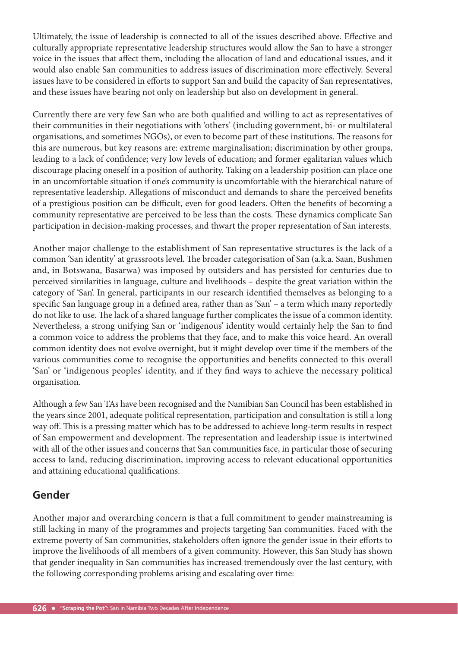Ultimately, the issue of leadership is connected to all of the issues described above. Effective and culturally appropriate representative leadership structures would allow the San to have a stronger voice in the issues that affect them, including the allocation of land and educational issues, and it would also enable San communities to address issues of discrimination more effectively. Several issues have to be considered in efforts to support San and build the capacity of San representatives, and these issues have bearing not only on leadership but also on development in general.

Currently there are very few San who are both qualified and willing to act as representatives of their communities in their negotiations with 'others' (including government, bi- or multilateral organisations, and sometimes NGOs), or even to become part of these institutions. The reasons for this are numerous, but key reasons are: extreme marginalisation; discrimination by other groups, leading to a lack of confidence; very low levels of education; and former egalitarian values which discourage placing oneself in a position of authority. Taking on a leadership position can place one in an uncomfortable situation if one's community is uncomfortable with the hierarchical nature of representative leadership. Allegations of misconduct and demands to share the perceived benefits of a prestigious position can be difficult, even for good leaders. Often the benefits of becoming a community representative are perceived to be less than the costs. These dynamics complicate San participation in decision-making processes, and thwart the proper representation of San interests.

Another major challenge to the establishment of San representative structures is the lack of a common 'San identity' at grassroots level. The broader categorisation of San (a.k.a. Saan, Bushmen and, in Botswana, Basarwa) was imposed by outsiders and has persisted for centuries due to perceived similarities in language, culture and livelihoods – despite the great variation within the category of 'San'. In general, participants in our research identified themselves as belonging to a specific San language group in a defined area, rather than as 'San' – a term which many reportedly do not like to use. The lack of a shared language further complicates the issue of a common identity. Nevertheless, a strong unifying San or 'indigenous' identity would certainly help the San to find a common voice to address the problems that they face, and to make this voice heard. An overall common identity does not evolve overnight, but it might develop over time if the members of the various communities come to recognise the opportunities and benefits connected to this overall 'San' or 'indigenous peoples' identity, and if they find ways to achieve the necessary political organisation.

Although a few San TAs have been recognised and the Namibian San Council has been established in the years since 2001, adequate political representation, participation and consultation is still a long way off. This is a pressing matter which has to be addressed to achieve long-term results in respect of San empowerment and development. The representation and leadership issue is intertwined with all of the other issues and concerns that San communities face, in particular those of securing access to land, reducing discrimination, improving access to relevant educational opportunities and attaining educational qualifications.

## **Gender**

Another major and overarching concern is that a full commitment to gender mainstreaming is still lacking in many of the programmes and projects targeting San communities. Faced with the extreme poverty of San communities, stakeholders often ignore the gender issue in their efforts to improve the livelihoods of all members of a given community. However, this San Study has shown that gender inequality in San communities has increased tremendously over the last century, with the following corresponding problems arising and escalating over time: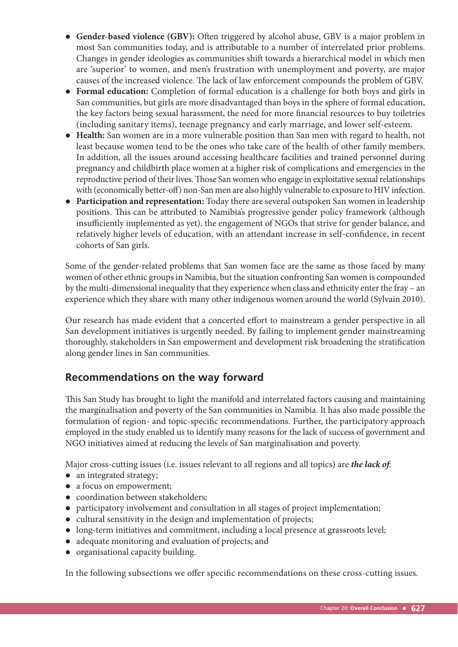- Gender-based violence (GBV): Often triggered by alcohol abuse, GBV is a major problem in most San communities today, and is attributable to a number of interrelated prior problems. Changes in gender ideologies as communities shift towards a hierarchical model in which men are 'superior' to women, and men's frustration with unemployment and poverty, are major causes of the increased violence. The lack of law enforcement compounds the problem of GBV.
- **Formal education:** Completion of formal education is a challenge for both boys and girls in San communities, but girls are more disadvantaged than boys in the sphere of formal education, the key factors being sexual harassment, the need for more financial resources to buy toiletries (including sanitary items), teenage pregnancy and early marriage, and lower self-esteem.
- **Health:** San women are in a more vulnerable position than San men with regard to health, not least because women tend to be the ones who take care of the health of other family members. In addition, all the issues around accessing healthcare facilities and trained personnel during pregnancy and childbirth place women at a higher risk of complications and emergencies in the reproductive period of their lives. Those San women who engage in exploitative sexual relationships with (economically better-off) non-San men are also highly vulnerable to exposure to HIV infection.
- **Participation and representation:** Today there are several outspoken San women in leadership positions. This can be attributed to Namibia's progressive gender policy framework (although insufficiently implemented as yet), the engagement of NGOs that strive for gender balance, and relatively higher levels of education, with an attendant increase in self-confidence, in recent cohorts of San girls.

Some of the gender-related problems that San women face are the same as those faced by many women of other ethnic groups in Namibia, but the situation confronting San women is compounded by the multi-dimensional inequality that they experience when class and ethnicity enter the fray – an experience which they share with many other indigenous women around the world (Sylvain 2010).

Our research has made evident that a concerted effort to mainstream a gender perspective in all San development initiatives is urgently needed. By failing to implement gender mainstreaming thoroughly, stakeholders in San empowerment and development risk broadening the stratification along gender lines in San communities.

# **Recommendations on the way forward**

This San Study has brought to light the manifold and interrelated factors causing and maintaining the marginalisation and poverty of the San communities in Namibia. It has also made possible the formulation of region- and topic-specific recommendations. Further, the participatory approach employed in the study enabled us to identify many reasons for the lack of success of government and NGO initiatives aimed at reducing the levels of San marginalisation and poverty.

Major cross-cutting issues (i.e. issues relevant to all regions and all topics) are *the lack of*:

- an integrated strategy;
- a focus on empowerment;
- coordination between stakeholders;
- participatory involvement and consultation in all stages of project implementation;
- cultural sensitivity in the design and implementation of projects;
- long-term initiatives and commitment, including a local presence at grassroots level;
- adequate monitoring and evaluation of projects; and
- organisational capacity building.

In the following subsections we offer specific recommendations on these cross-cutting issues.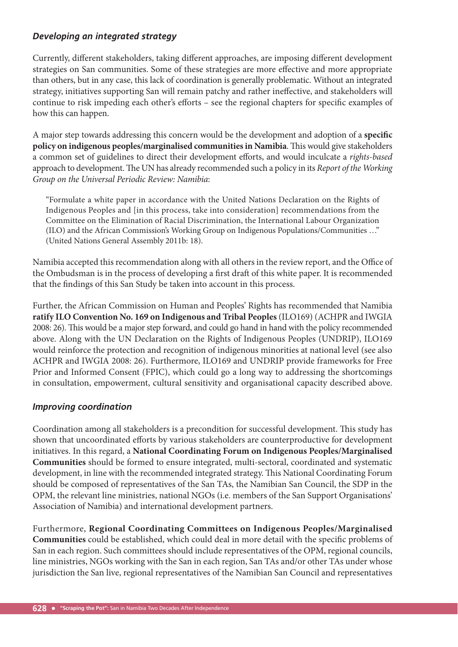#### *Developing an integrated strategy*

Currently, different stakeholders, taking different approaches, are imposing different development strategies on San communities. Some of these strategies are more effective and more appropriate than others, but in any case, this lack of coordination is generally problematic. Without an integrated strategy, initiatives supporting San will remain patchy and rather ineffective, and stakeholders will continue to risk impeding each other's efforts - see the regional chapters for specific examples of how this can happen.

A major step towards addressing this concern would be the development and adoption of a specific policy on indigenous peoples/marginalised communities in Namibia. This would give stakeholders a common set of guidelines to direct their development efforts, and would inculcate a *rights-based* approach to development. The UN has already recommended such a policy in its *Report of the Working Group on the Universal Periodic Review: Namibia*:

"Formulate a white paper in accordance with the United Nations Declaration on the Rights of Indigenous Peoples and [in this process, take into consideration] recommendations from the Committee on the Elimination of Racial Discrimination, the International Labour Organization (ILO) and the African Commission's Working Group on Indigenous Populations/Communities …" (United Nations General Assembly 2011b: 18).

Namibia accepted this recommendation along with all others in the review report, and the Office of the Ombudsman is in the process of developing a first draft of this white paper. It is recommended that the findings of this San Study be taken into account in this process.

Further, the African Commission on Human and Peoples' Rights has recommended that Namibia **ratify ILO Convention No. 169 on Indigenous and Tribal Peoples** (ILO169) (ACHPR and IWGIA 2008: 26). This would be a major step forward, and could go hand in hand with the policy recommended above. Along with the UN Declaration on the Rights of Indigenous Peoples (UNDRIP), ILO169 would reinforce the protection and recognition of indigenous minorities at national level (see also ACHPR and IWGIA 2008: 26). Furthermore, ILO169 and UNDRIP provide frameworks for Free Prior and Informed Consent (FPIC), which could go a long way to addressing the shortcomings in consultation, empowerment, cultural sensitivity and organisational capacity described above.

#### *Improving coordination*

Coordination among all stakeholders is a precondition for successful development. This study has shown that uncoordinated efforts by various stakeholders are counterproductive for development initiatives. In this regard, a **National Coordinating Forum on Indigenous Peoples/Marginalised Communities** should be formed to ensure integrated, multi-sectoral, coordinated and systematic development, in line with the recommended integrated strategy. This National Coordinating Forum should be composed of representatives of the San TAs, the Namibian San Council, the SDP in the OPM, the relevant line ministries, national NGOs (i.e. members of the San Support Organisations' Association of Namibia) and international development partners.

Furthermore, **Regional Coordinating Committees on Indigenous Peoples/Marginalised Communities** could be established, which could deal in more detail with the specific problems of San in each region. Such committees should include representatives of the OPM, regional councils, line ministries, NGOs working with the San in each region, San TAs and/or other TAs under whose jurisdiction the San live, regional representatives of the Namibian San Council and representatives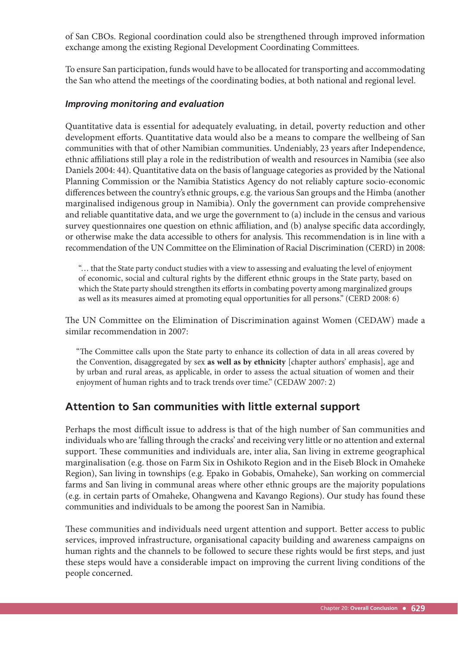of San CBOs. Regional coordination could also be strengthened through improved information exchange among the existing Regional Development Coordinating Committees.

To ensure San participation, funds would have to be allocated for transporting and accommodating the San who attend the meetings of the coordinating bodies, at both national and regional level.

#### *Improving monitoring and evaluation*

Quantitative data is essential for adequately evaluating, in detail, poverty reduction and other development efforts. Quantitative data would also be a means to compare the wellbeing of San communities with that of other Namibian communities. Undeniably, 23 years after Independence, ethnic affiliations still play a role in the redistribution of wealth and resources in Namibia (see also Daniels 2004: 44). Quantitative data on the basis of language categories as provided by the National Planning Commission or the Namibia Statistics Agency do not reliably capture socio-economic differences between the country's ethnic groups, e.g. the various San groups and the Himba (another marginalised indigenous group in Namibia). Only the government can provide comprehensive and reliable quantitative data, and we urge the government to (a) include in the census and various survey questionnaires one question on ethnic affiliation, and (b) analyse specific data accordingly, or otherwise make the data accessible to others for analysis. This recommendation is in line with a recommendation of the UN Committee on the Elimination of Racial Discrimination (CERD) in 2008:

"… that the State party conduct studies with a view to assessing and evaluating the level of enjoyment of economic, social and cultural rights by the different ethnic groups in the State party, based on which the State party should strengthen its efforts in combating poverty among marginalized groups as well as its measures aimed at promoting equal opportunities for all persons." (CERD 2008: 6)

The UN Committee on the Elimination of Discrimination against Women (CEDAW) made a similar recommendation in 2007:

"The Committee calls upon the State party to enhance its collection of data in all areas covered by the Convention, disaggregated by sex **as well as by ethnicity** [chapter authors' emphasis], age and by urban and rural areas, as applicable, in order to assess the actual situation of women and their enjoyment of human rights and to track trends over time." (CEDAW 2007: 2)

#### **Attention to San communities with little external support**

Perhaps the most difficult issue to address is that of the high number of San communities and individuals who are 'falling through the cracks' and receiving very little or no attention and external support. These communities and individuals are, inter alia, San living in extreme geographical marginalisation (e.g. those on Farm Six in Oshikoto Region and in the Eiseb Block in Omaheke Region), San living in townships (e.g. Epako in Gobabis, Omaheke), San working on commercial farms and San living in communal areas where other ethnic groups are the majority populations (e.g. in certain parts of Omaheke, Ohangwena and Kavango Regions). Our study has found these communities and individuals to be among the poorest San in Namibia.

These communities and individuals need urgent attention and support. Better access to public services, improved infrastructure, organisational capacity building and awareness campaigns on human rights and the channels to be followed to secure these rights would be first steps, and just these steps would have a considerable impact on improving the current living conditions of the people concerned.